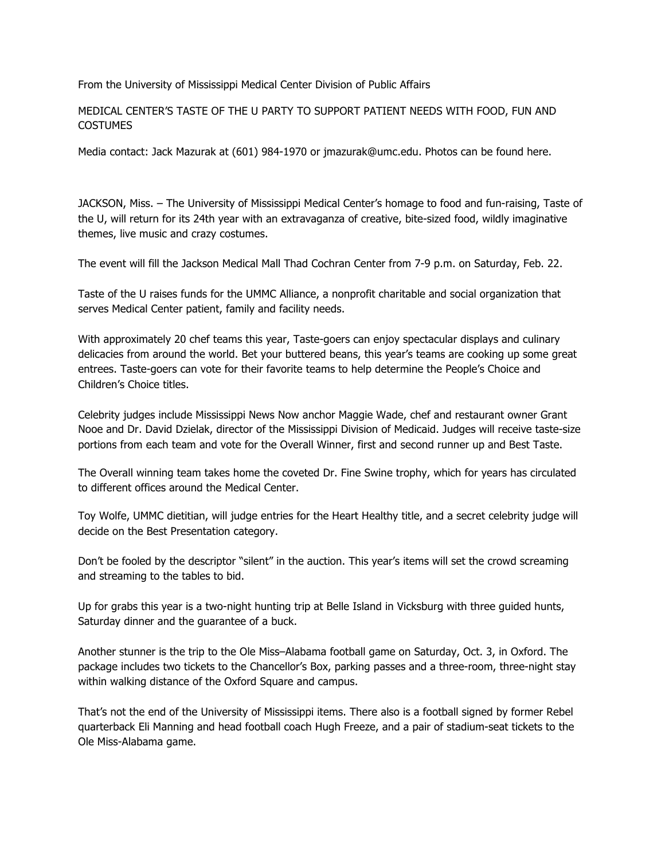From the University of Mississippi Medical Center Division of Public Affairs

MEDICAL CENTER'S TASTE OF THE U PARTY TO SUPPORT PATIENT NEEDS WITH FOOD, FUN AND **COSTUMES** 

Media contact: Jack Mazurak at (601) 984-1970 or jmazurak@umc.edu. Photos can be found here.

JACKSON, Miss. – The University of Mississippi Medical Center's homage to food and fun-raising, Taste of the U, will return for its 24th year with an extravaganza of creative, bite-sized food, wildly imaginative themes, live music and crazy costumes.

The event will fill the Jackson Medical Mall Thad Cochran Center from 7-9 p.m. on Saturday, Feb. 22.

Taste of the U raises funds for the UMMC Alliance, a nonprofit charitable and social organization that serves Medical Center patient, family and facility needs.

With approximately 20 chef teams this year, Taste-goers can enjoy spectacular displays and culinary delicacies from around the world. Bet your buttered beans, this year's teams are cooking up some great entrees. Taste-goers can vote for their favorite teams to help determine the People's Choice and Children's Choice titles.

Celebrity judges include Mississippi News Now anchor Maggie Wade, chef and restaurant owner Grant Nooe and Dr. David Dzielak, director of the Mississippi Division of Medicaid. Judges will receive taste-size portions from each team and vote for the Overall Winner, first and second runner up and Best Taste.

The Overall winning team takes home the coveted Dr. Fine Swine trophy, which for years has circulated to different offices around the Medical Center.

Toy Wolfe, UMMC dietitian, will judge entries for the Heart Healthy title, and a secret celebrity judge will decide on the Best Presentation category.

Don't be fooled by the descriptor "silent" in the auction. This year's items will set the crowd screaming and streaming to the tables to bid.

Up for grabs this year is a two-night hunting trip at Belle Island in Vicksburg with three guided hunts, Saturday dinner and the guarantee of a buck.

Another stunner is the trip to the Ole Miss–Alabama football game on Saturday, Oct. 3, in Oxford. The package includes two tickets to the Chancellor's Box, parking passes and a three-room, three-night stay within walking distance of the Oxford Square and campus.

That's not the end of the University of Mississippi items. There also is a football signed by former Rebel quarterback Eli Manning and head football coach Hugh Freeze, and a pair of stadium-seat tickets to the Ole Miss-Alabama game.